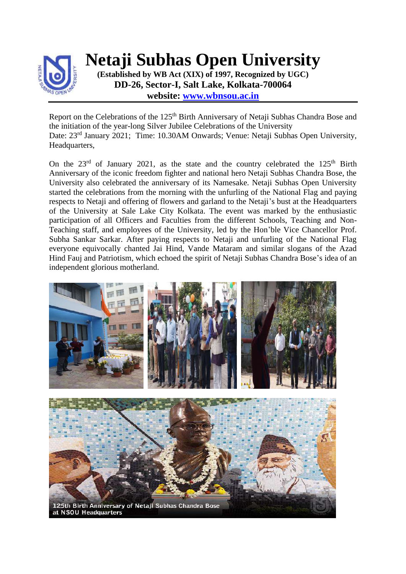

**Netaji Subhas Open University**

**(Established by WB Act (XIX) of 1997, Recognized by UGC) DD-26, Sector-I, Salt Lake, Kolkata-700064 website: [www.wbnsou.ac.in](http://www.wbnsou.ac.in/)**

Report on the Celebrations of the 125<sup>th</sup> Birth Anniversary of Netaji Subhas Chandra Bose and the initiation of the year-long Silver Jubilee Celebrations of the University Date: 23<sup>rd</sup> January 2021; Time: 10.30AM Onwards; Venue: Netaji Subhas Open University, Headquarters,

On the  $23<sup>rd</sup>$  of January 2021, as the state and the country celebrated the  $125<sup>th</sup>$  Birth Anniversary of the iconic freedom fighter and national hero Netaji Subhas Chandra Bose, the University also celebrated the anniversary of its Namesake. Netaji Subhas Open University started the celebrations from the morning with the unfurling of the National Flag and paying respects to Netaji and offering of flowers and garland to the Netaji's bust at the Headquarters of the University at Sale Lake City Kolkata. The event was marked by the enthusiastic participation of all Officers and Faculties from the different Schools, Teaching and Non-Teaching staff, and employees of the University, led by the Hon'ble Vice Chancellor Prof. Subha Sankar Sarkar. After paying respects to Netaji and unfurling of the National Flag everyone equivocally chanted Jai Hind, Vande Mataram and similar slogans of the Azad Hind Fauj and Patriotism, which echoed the spirit of Netaji Subhas Chandra Bose's idea of an independent glorious motherland.